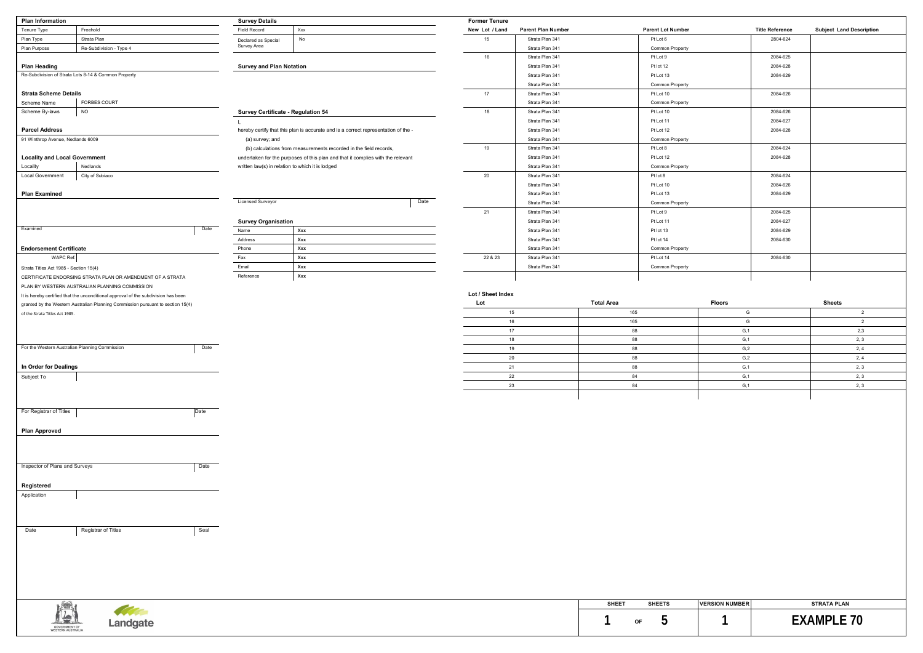| <b>Plan Information</b>                |                                                                                    | <b>Survey Details</b>           |                                                                                    | <b>Former Tenure</b> |                           |                          |               |                        |                                 |
|----------------------------------------|------------------------------------------------------------------------------------|---------------------------------|------------------------------------------------------------------------------------|----------------------|---------------------------|--------------------------|---------------|------------------------|---------------------------------|
| Tenure Type                            | Freehold                                                                           | Field Record                    | Xxx                                                                                | New Lot / Land       | <b>Parent Plan Number</b> | <b>Parent Lot Number</b> |               | <b>Title Reference</b> | <b>Subject Land Description</b> |
| Plan Type                              | Strata Plan                                                                        | Declared as Special             | No                                                                                 | 15                   | Strata Plan 341           | Pt Lot 6                 |               | 2804-624               |                                 |
| Plan Purpose                           | Re-Subdivision - Type 4                                                            | Survey Area                     |                                                                                    |                      | Strata Plan 341           | <b>Common Property</b>   |               |                        |                                 |
|                                        |                                                                                    |                                 |                                                                                    | 16                   | Strata Plan 341           | Pt Lot 9                 |               | 2084-625               |                                 |
| <b>Plan Heading</b>                    |                                                                                    | <b>Survey and Plan Notation</b> |                                                                                    |                      | Strata Plan 341           | Pt lot 12                |               | 2084-628               |                                 |
|                                        | Re-Subdivision of Strata Lots 8-14 & Common Property                               |                                 |                                                                                    |                      | Strata Plan 341           | Pt Lot 13                |               | 2084-629               |                                 |
|                                        |                                                                                    |                                 |                                                                                    |                      | Strata Plan 341           | Common Property          |               |                        |                                 |
| <b>Strata Scheme Details</b>           |                                                                                    |                                 |                                                                                    | 17                   | Strata Plan 341           | Pt Lot 10                |               | 2084-626               |                                 |
| Scheme Name                            | <b>FORBES COURT</b>                                                                |                                 |                                                                                    |                      | Strata Plan 341           | Common Property          |               |                        |                                 |
| Scheme By-laws                         | <b>NO</b>                                                                          |                                 | Survey Certificate - Regulation 54                                                 | 18                   | Strata Plan 341           | Pt Lot 10                |               | 2084-626               |                                 |
|                                        |                                                                                    |                                 |                                                                                    |                      |                           |                          |               |                        |                                 |
|                                        |                                                                                    |                                 |                                                                                    |                      | Strata Plan 341           | Pt Lot 11                |               | 2084-627               |                                 |
| <b>Parcel Address</b>                  |                                                                                    |                                 | hereby certify that this plan is accurate and is a correct representation of the - |                      | Strata Plan 341           | Pt Lot 12                |               | 2084-628               |                                 |
| 91 Winthrop Avenue, Nedlands 6009      |                                                                                    | (a) survey; and                 |                                                                                    |                      | Strata Plan 341           | Common Property          |               |                        |                                 |
|                                        |                                                                                    |                                 | (b) calculations from measurements recorded in the field records,                  | 19                   | Strata Plan 341           | Pt Lot 8                 |               | 2084-624               |                                 |
| <b>Locality and Local Government</b>   |                                                                                    |                                 | undertaken for the purposes of this plan and that it complies with the relevant    |                      | Strata Plan 341           | Pt Lot 12                |               | 2084-628               |                                 |
| Locality                               | Nedlands                                                                           |                                 | written law(s) in relation to which it is lodged                                   |                      | Strata Plan 341           | <b>Common Property</b>   |               |                        |                                 |
| <b>Local Government</b>                | City of Subiaco                                                                    |                                 |                                                                                    | 20                   | Strata Plan 341           | Pt lot 8                 |               | 2084-624               |                                 |
|                                        |                                                                                    |                                 |                                                                                    |                      | Strata Plan 341           | Pt Lot 10                |               | 2084-626               |                                 |
| <b>Plan Examined</b>                   |                                                                                    |                                 |                                                                                    |                      | Strata Plan 341           | Pt Lot 13                |               | 2084-629               |                                 |
|                                        |                                                                                    | Licensed Surveyor               |                                                                                    | Date                 | Strata Plan 341           | <b>Common Property</b>   |               |                        |                                 |
|                                        |                                                                                    |                                 |                                                                                    | 21                   | Strata Plan 341           | Pt Lot 9                 |               | 2084-625               |                                 |
|                                        |                                                                                    | <b>Survey Organisation</b>      |                                                                                    |                      | Strata Plan 341           | Pt Lot 11                |               | 2084-627               |                                 |
| Examined                               |                                                                                    | Date<br>Name                    | Xxx                                                                                |                      | Strata Plan 341           | Pt lot 13                |               | 2084-629               |                                 |
|                                        |                                                                                    | Address                         | Xxx                                                                                |                      | Strata Plan 341           | Pt lot 14                |               | 2084-630               |                                 |
| <b>Endorsement Certificate</b>         |                                                                                    | Phone                           | Xxx                                                                                |                      | Strata Plan 341           | Common Property          |               |                        |                                 |
| WAPC Ref:                              |                                                                                    | Fax                             | Xxx                                                                                | 22 & 23              | Strata Plan 341           | Pt Lot 14                |               | 2084-630               |                                 |
|                                        |                                                                                    | Email                           | Xxx                                                                                |                      | Strata Plan 341           | Common Property          |               |                        |                                 |
| Strata Titles Act 1985 - Section 15(4) |                                                                                    | Reference                       | Xxx                                                                                |                      |                           |                          |               |                        |                                 |
|                                        | CERTIFICATE ENDORSING STRATA PLAN OR AMENDMENT OF A STRATA                         |                                 |                                                                                    |                      |                           |                          |               |                        |                                 |
|                                        | PLAN BY WESTERN AUSTRALIAN PLANNING COMMISSION                                     |                                 |                                                                                    | Lot / Sheet Index    |                           |                          |               |                        |                                 |
|                                        | It is hereby certified that the unconditional approval of the subdivision has been |                                 |                                                                                    |                      |                           |                          |               |                        |                                 |
|                                        | granted by the Western Australian Planning Commission pursuant to section 15(4)    |                                 |                                                                                    | Lot                  |                           | <b>Total Area</b>        | <b>Floors</b> |                        | <b>Sheets</b>                   |
| of the Strata Titles Act 1985.         |                                                                                    |                                 |                                                                                    |                      | 15                        | 165                      | G             |                        | $\overline{2}$                  |
|                                        |                                                                                    |                                 |                                                                                    | 16                   |                           | 165                      | G             |                        | $\overline{2}$                  |
|                                        |                                                                                    |                                 |                                                                                    | 17                   |                           | 88                       | G, 1          |                        | 2,3                             |
|                                        |                                                                                    |                                 |                                                                                    | 18                   |                           | 88                       | G, 1          |                        | 2, 3                            |
|                                        | For the Western Australian Planning Commission                                     | Date                            |                                                                                    | 19                   |                           | 88                       | G, 2          |                        | 2, 4                            |
|                                        |                                                                                    |                                 |                                                                                    | 20                   |                           | 88                       | G,2           |                        | 2, 4                            |
| In Order for Dealings                  |                                                                                    |                                 |                                                                                    | 21                   |                           | 88                       | G, 1          |                        | 2, 3                            |
| Subject To                             |                                                                                    |                                 |                                                                                    | 22                   |                           | 84                       | G, 1          |                        | 2, 3                            |
|                                        |                                                                                    |                                 |                                                                                    |                      | 23                        | 84                       | G, 1          |                        | 2, 3                            |
|                                        |                                                                                    |                                 |                                                                                    |                      |                           |                          |               |                        |                                 |
|                                        |                                                                                    |                                 |                                                                                    |                      |                           |                          |               |                        |                                 |
| For Registrar of Titles                |                                                                                    | Date                            |                                                                                    |                      |                           |                          |               |                        |                                 |
|                                        |                                                                                    |                                 |                                                                                    |                      |                           |                          |               |                        |                                 |
| <b>Plan Approved</b>                   |                                                                                    |                                 |                                                                                    |                      |                           |                          |               |                        |                                 |
|                                        |                                                                                    |                                 |                                                                                    |                      |                           |                          |               |                        |                                 |
|                                        |                                                                                    |                                 |                                                                                    |                      |                           |                          |               |                        |                                 |
|                                        |                                                                                    |                                 |                                                                                    |                      |                           |                          |               |                        |                                 |
| Inspector of Plans and Surveys         |                                                                                    | Date                            |                                                                                    |                      |                           |                          |               |                        |                                 |
|                                        |                                                                                    |                                 |                                                                                    |                      |                           |                          |               |                        |                                 |
|                                        |                                                                                    |                                 |                                                                                    |                      |                           |                          |               |                        |                                 |
| Registered                             |                                                                                    |                                 |                                                                                    |                      |                           |                          |               |                        |                                 |
| Application                            |                                                                                    |                                 |                                                                                    |                      |                           |                          |               |                        |                                 |
|                                        |                                                                                    |                                 |                                                                                    |                      |                           |                          |               |                        |                                 |
|                                        |                                                                                    |                                 |                                                                                    |                      |                           |                          |               |                        |                                 |
|                                        |                                                                                    |                                 |                                                                                    |                      |                           |                          |               |                        |                                 |
| Date                                   | Registrar of Titles                                                                | Seal                            |                                                                                    |                      |                           |                          |               |                        |                                 |
|                                        |                                                                                    |                                 |                                                                                    |                      |                           |                          |               |                        |                                 |
|                                        |                                                                                    |                                 |                                                                                    |                      |                           |                          |               |                        |                                 |
|                                        |                                                                                    |                                 |                                                                                    |                      |                           |                          |               |                        |                                 |
|                                        |                                                                                    |                                 |                                                                                    |                      |                           |                          |               |                        |                                 |
|                                        |                                                                                    |                                 |                                                                                    |                      |                           |                          |               |                        |                                 |
|                                        |                                                                                    |                                 |                                                                                    |                      |                           |                          |               |                        |                                 |
|                                        |                                                                                    |                                 |                                                                                    |                      |                           |                          |               |                        |                                 |

|    | <b>Total Area</b> | <b>Floors</b> | <b>Sheets</b> |
|----|-------------------|---------------|---------------|
| 15 | 165               | G             | $\sqrt{2}$    |
| 16 | 165               | G             |               |
| 17 | 88                | G, 1          | 2,3           |
| 18 | 88                | G, 1          | 2, 3          |
| 19 | 88                | G, 2          | 2, 4          |
| 20 | 88                | G, 2          | 2, 4          |
| 21 | 88                | G, 1          | 2, 3          |
| 22 | 84                | G, 1          | 2, 3          |
| 23 | 84                | G, 1          | 2, 3          |
|    |                   |               |               |

**SHEET SHEETS VERSION NUMBER STRATA PLAN**

# 1 **EXAMPLE 70**

|               |                                                  |  | <b>SHEET</b> |    | <b>SHEETS</b> |
|---------------|--------------------------------------------------|--|--------------|----|---------------|
|               | <b>The Company of the Company of the Company</b> |  |              |    |               |
| SOVERNMENT OF | Landgate                                         |  |              | OF | . .           |
|               |                                                  |  |              |    |               |

| <b>Title Reference</b> | <b>Subject Land Description</b> |
|------------------------|---------------------------------|
| 2804-624               |                                 |
|                        |                                 |
| 2084-625               |                                 |
| 2084-628               |                                 |
| 2084-629               |                                 |
|                        |                                 |
| 2084-626               |                                 |
|                        |                                 |
| 2084-626               |                                 |
| 2084-627               |                                 |
| 2084-628               |                                 |
|                        |                                 |
| 2084-624               |                                 |
| 2084-628               |                                 |
|                        |                                 |
| 2084-624               |                                 |
| 2084-626               |                                 |
| 2084-629               |                                 |
|                        |                                 |
| 2084-625               |                                 |
| 2084-627               |                                 |
| 2084-629               |                                 |
| 2084-630               |                                 |
|                        |                                 |
| 2084-630               |                                 |
|                        |                                 |
|                        |                                 |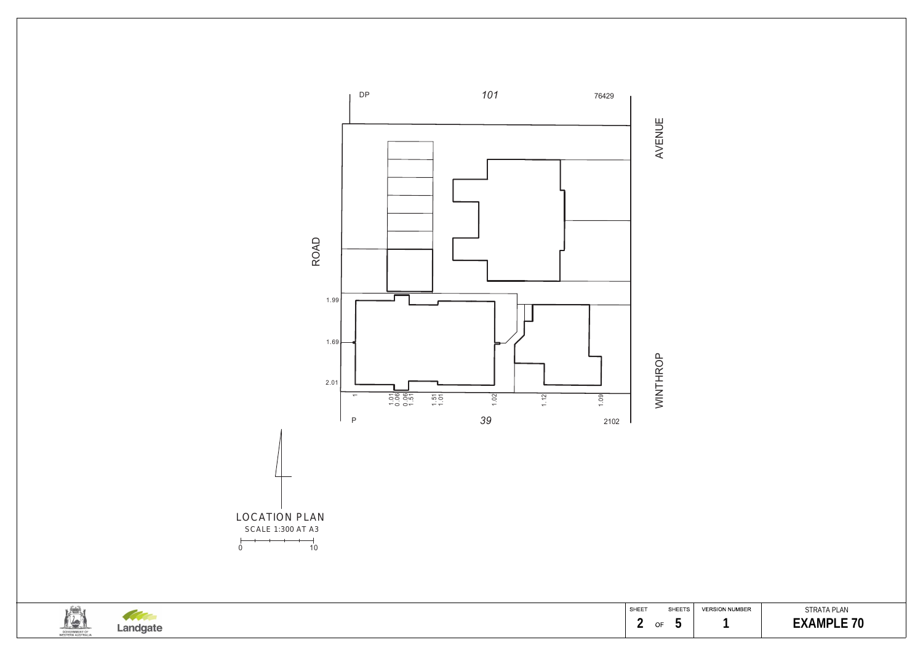



Landgate

#### STRATA PLAN 1 **EXAMPLE 70**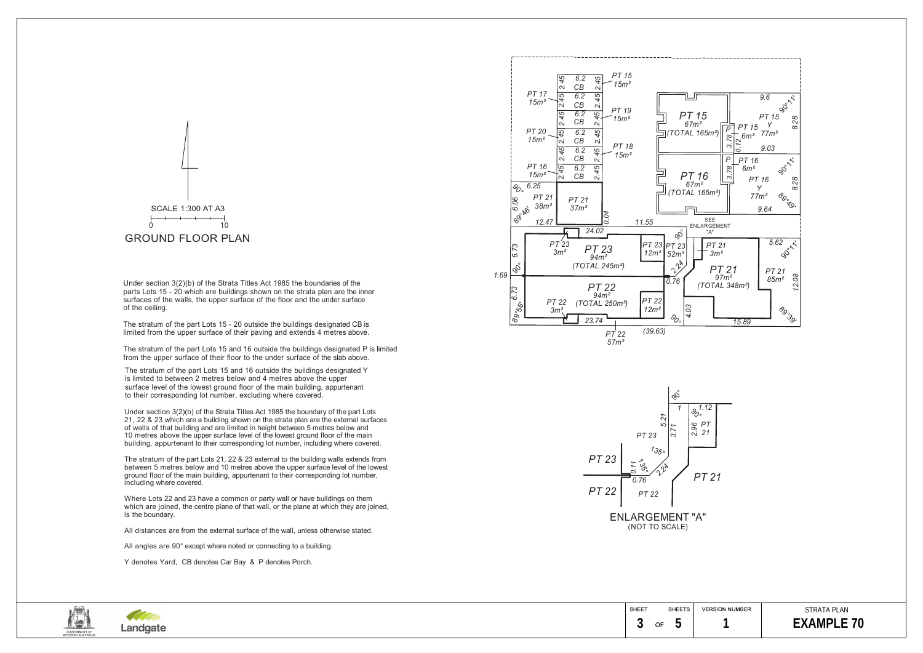| - - -<br><b>MC</b><br>$\neg x$     |                       | SHEET |    | <b>SHEETS</b>                   |  |
|------------------------------------|-----------------------|-------|----|---------------------------------|--|
| سما                                | 19 I C<br><b>LUIN</b> |       | OF | $\overline{\phantom{a}}$<br>. . |  |
| GOVERNMENT OF<br>WESTERN AUSTRALIA |                       |       |    |                                 |  |

### STRATA PLAN *EXAMPLE 70*



Under section 3(2)(b) of the Strata Titles Act 1985 the boundary of the part Lots 21, 22 & 23 which are a building shown on the strata plan are the external surfaces of walls of that building and are limited in height between 5 metres below and 10 metres above the upper surface level of the lowest ground floor of the main building, appurtenant to their corresponding lot number, including where covered.

The stratum of the part Lots 21, 22 & 23 external to the building walls extends from between 5 metres below and 10 metres above the upper surface level of the lowest ground floor of the main building, appurtenant to their corresponding lot number, including where covered.

Where Lots 22 and 23 have a common or party wall or have buildings on them which are joined, the centre plane of that wall, or the plane at which they are joined, is the boundary.

All distances are from the external surface of the wall, unless otherwise stated.

All angles are 90° except where noted or connecting to a building.



Y denotes Yard, CB denotes Car Bay & P denotes Porch.

Under section 3(2)(b) of the Strata Titles Act 1985 the boundaries of the parts Lots 15 - 20 which are buildings shown on the strata plan are the inner surfaces of the walls, the upper surface of the floor and the under surface of the ceiling.

The stratum of the part Lots 15 - 20 outside the buildings designated CB is limited from the upper surface of their paving and extends 4 metres above.

The stratum of the part Lots 15 and 16 outside the buildings designated P is limited from the upper surface of their floor to the under surface of the slab above.

The stratum of the part Lots 15 and 16 outside the buildings designated Y is limited to between 2 metres below and 4 metres above the upper surface level of the lowest ground floor of the main building, appurtenant to their corresponding lot number, excluding where covered.

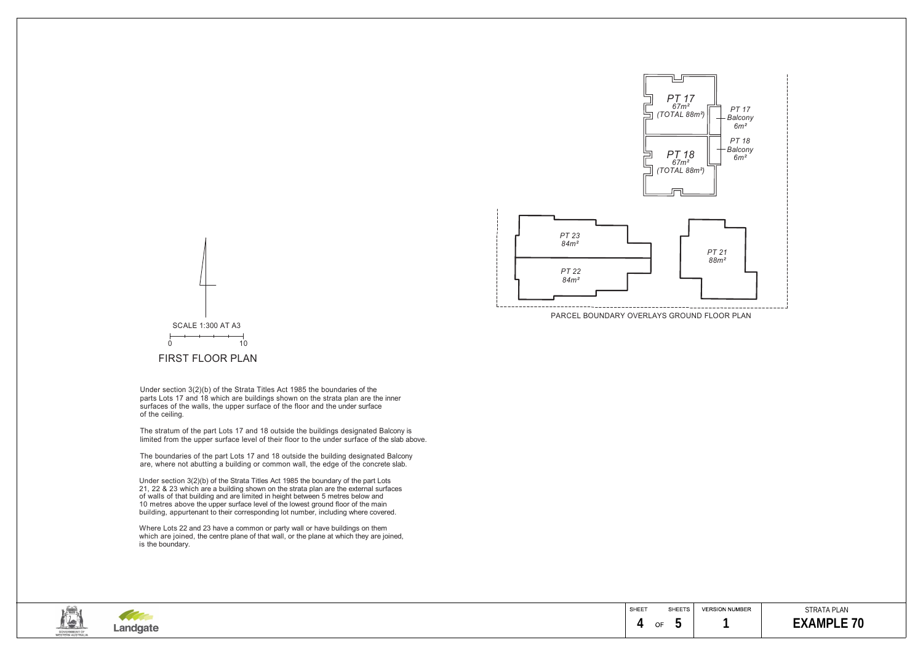

Under section 3(2)(b) of the Strata Titles Act 1985 the boundaries of the parts Lots 17 and 18 which are buildings shown on the strata plan are the inner surfaces of the walls, the upper surface of the floor and the under surface of the ceiling.

The boundaries of the part Lots 17 and 18 outside the building designated Balcony are, where not abutting a building or common wall, the edge of the concrete slab.

The stratum of the part Lots 17 and 18 outside the buildings designated Balcony is limited from the upper surface level of their floor to the under surface of the slab above.

### STRATA PLAN  **4 5 1 EXAMPLE 70**



Under section 3(2)(b) of the Strata Titles Act 1985 the boundary of the part Lots 21, 22 & 23 which are a building shown on the strata plan are the external surfaces of walls of that building and are limited in height between 5 metres below and 10 metres above the upper surface level of the lowest ground floor of the main building, appurtenant to their corresponding lot number, including where covered.

Where Lots 22 and 23 have a common or party wall or have buildings on them which are joined, the centre plane of that wall, or the plane at which they are joined, is the boundary.